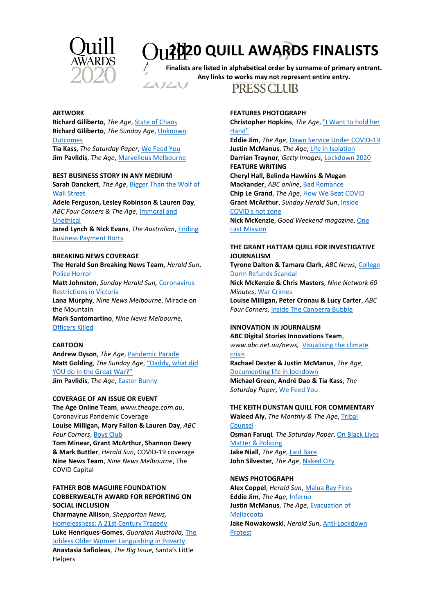

# **2020 QUILL AWARDS FINALISTS**

**Finalists are listed in alphabetical order by surname of primary entrant. Any links to works may not represent entire entry.**



**PRESSCLUB** 

## **ARTWORK**

**Richard Giliberto**, *The Age*[, State of Chaos](https://melbournepressclub.com/uploads/Awards/2020_Quills/Finalists/Artwork_Giliberto_state_of_chaos.pdf) **Richard Giliberto**, *The Sunday Age*[, Unknown](https://melbournepressclub.com/uploads/Awards/2020_Quills/Finalists/Artwork_Giliberto_unkownoutcomes.pdf)  **[Outcomes](https://melbournepressclub.com/uploads/Awards/2020_Quills/Finalists/Artwork_Giliberto_unkownoutcomes.pdf)** 

**Tia Kass**, *The Saturday Paper*, [We Feed You](https://www.thesaturdaypaper.com.au/news/politics/2020/05/16/we-feed-you/15895512009836) **Jim Pavlidis**, *The Age*, [Marvellous Melbourne](https://melbournepressclub.com/uploads/Awards/2020_Quills/Finalists/Artwork_Pavlidis_Marvellous_Melbourne.jpg)

# **BEST BUSINESS STORY IN ANY MEDIUM**

**Sarah Danckert**, *The Age*[, Bigger Than the Wolf of](https://www.theage.com.au/business/markets/bigger-than-the-wolf-of-wall-street-how-a-shady-network-of-brokers-ran-riot-in-australia-20201111-p56dis.html)  [Wall Street](https://www.theage.com.au/business/markets/bigger-than-the-wolf-of-wall-street-how-a-shady-network-of-brokers-ran-riot-in-australia-20201111-p56dis.html)

**Adele Ferguson, Lesley Robinson & Lauren Day**, *ABC Four Corners & The Age*, [Immoral and](https://www.abc.net.au/4corners/the-financial-scandal-and-human-cost-of/12496682)  **[Unethical](https://www.abc.net.au/4corners/the-financial-scandal-and-human-cost-of/12496682) Jared Lynch & Nick Evans**, *The Australian*[, Ending](https://melbournepressclub.com/uploads/Awards/2020_Quills/Finalists/Business_Lynch_Evans_Business.pdf) 

[Business Payment Rorts](https://melbournepressclub.com/uploads/Awards/2020_Quills/Finalists/Business_Lynch_Evans_Business.pdf)

# **BREAKING NEWS COVERAGE**

**The Herald Sun Breaking News Team**, *Herald Sun*, [Police Horror](https://melbournepressclub.com/uploads/Awards/2020_Quills/Finalists/Breaking_Herald_Sun_Police_Horror.pdf)

**Matt Johnston**, *Sunday Herald Sun,* [Coronavirus](https://melbournepressclub.com/uploads/Awards/2020_Quills/Finalists/Breaking_Johnston.pdf)  [Restrictions in Victoria](https://melbournepressclub.com/uploads/Awards/2020_Quills/Finalists/Breaking_Johnston.pdf)

**Lana Murphy**, *Nine News Melbourne*, Miracle on the Mountain **Mark Santomartino**, *Nine News Melbourne*,

[Officers Killed](https://www.youtube.com/watch?v=jCN_V0KbrQI)

# **CARTOON**

**Andrew Dyson**, *The Age*, [Pandemic Parade](https://melbournepressclub.com/uploads/Awards/2020_Quills/Finalists/Cartoon_Dyson_pandemic_parade.jpg) **Matt Golding**, *The Sunday Age*, "[Daddy, what](https://melbournepressclub.com/uploads/Awards/2020_Quills/Finalists/Cartoon_Golding_daddy_what_did_you_do.jpg) did [YOU do in the Great War?"](https://melbournepressclub.com/uploads/Awards/2020_Quills/Finalists/Cartoon_Golding_daddy_what_did_you_do.jpg) **Jim Pavlidis**, *The Age*, [Easter Bunny](https://melbournepressclub.com/uploads/Awards/2020_Quills/Finalists/Cartoon_Pavlidis_EasterBunny.jpg)

# **COVERAGE OF AN ISSUE OR EVENT**

**The Age Online Team**, *www.theage.com.au*, Coronavirus Pandemic Coverage **Louise Milligan, Mary Fallon & Lauren Day**, *ABC Four Corners*, [Boys Club](https://www.abc.net.au/4corners/boy-club/11994640)

**Tom Minear, Grant McArthur, Shannon Deery & Mark Buttler**, *Herald Sun*, COVID-19 coverage **Nine News Team**, *Nine News Melbourne*, The COVID Capital

# **FATHER BOB MAGUIRE FOUNDATION COBBERWEALTH AWARD FOR REPORTING ON SOCIAL INCLUSION**

**Charmayne Allison**, *Shepparton News,* [Homelessness: A 21st Century Tragedy](https://www.sheppnews.com.au/podcasts/2020/08/07/1492075/scotts-story) **Luke Henriques-Gomes**, *Guardian Australia,* [The](https://www.theguardian.com/business/2020/oct/10/discarded-the-australian-women-over-50-left-to-languish-in-poverty)  [Jobless Older Women Languishing in Poverty](https://www.theguardian.com/business/2020/oct/10/discarded-the-australian-women-over-50-left-to-languish-in-poverty) **Anastasia Safioleas**, *The Big Issue,* Santa's Little Helpers

# **FEATURES PHOTOGRAPH**

**Christopher Hopkins**, *The Age*[, "I Want to hold her](https://melbournepressclub.com/uploads/Awards/2020_Quills/Finalists/Features-photo_Hopkins_Iwanttoholdherhand.JPG)  [Hand"](https://melbournepressclub.com/uploads/Awards/2020_Quills/Finalists/Features-photo_Hopkins_Iwanttoholdherhand.JPG)

**Eddie Jim**, *The Age*, [Dawn Service Under COVID-19](https://www.theage.com.au/national/victoria/anzac-day-melbourne-20200425-h1nmh2.html) **Justin McManus**, *The Age*[, Life in Isolation](https://www.theage.com.au/national/victoria/life-in-isolation-portraits-of-a-society-in-lockdown-20200402-p54gei.html) **Darrian Traynor***, Getty Images*, [Lockdown 2020](https://7news.com.au/lifestyle/health-wellbeing/first-steps-melbourne-edges-out-of-covid-19-lockdown-c-1312834) **FEATURE WRITING Cheryl Hall, Belinda Hawkins & Megan**

**Mackander**, *ABC online*[, Bad Romance](https://www.abc.net.au/news/2020-10-20/fbi-and-detective-solve-di-mcdonald-stalker-case/12702180?nw=0) **Chip Le Grand**, *The Age*[, How We Beat COVID](https://www.theage.com.au/national/victoria/how-we-beat-covid-part-one-the-way-in-20201210-p56mdr.html) **Grant McArthur**, *Sunday Herald Sun*[, Inside](https://www.heraldsun.com.au/coronavirus/covid-nurses-putting-their-lives-on-the-line-for-our-sickest-patients/news-story/913f94dd90d106645b199b2df1176af2)  [COVID's hot zone](https://www.heraldsun.com.au/coronavirus/covid-nurses-putting-their-lives-on-the-line-for-our-sickest-patients/news-story/913f94dd90d106645b199b2df1176af2)

**Nick McKenzie**, *Good Weekend magazine*[, One](https://www.theage.com.au/interactive/2020/one-last-mission/index.html)  [Last Mission](https://www.theage.com.au/interactive/2020/one-last-mission/index.html)

# **THE GRANT HATTAM QUILL FOR INVESTIGATIVE JOURNALISM**

**Tyrone Dalton & Tamara Clark**, *ABC News*[, College](https://www.abc.net.au/news/2020-09-17/students-seek-refunds-on-university-accommodation/12665520)  [Dorm Refunds Scandal](https://www.abc.net.au/news/2020-09-17/students-seek-refunds-on-university-accommodation/12665520)

**Nick McKenzie & Chris Masters**, *Nine Network 60 Minutes*[, War Crimes](https://www.youtube.com/watch?v=VivaSPIwh-E)

**Louise Milligan, Peter Cronau & Lucy Carter**, *ABC Four Corners*, [Inside The Canberra Bubble](https://www.abc.net.au/4corners/inside-the-canberra-bubble/12864676)

# **INNOVATION IN JOURNALISM**

**ABC Digital Stories Innovations Team**, *www.abc.net.au/news,* [Visualising the climate](https://www.abc.net.au/news/2020-10-29/relentless-drought-captured-from-space/12753788?nw=0)  [crisis](https://www.abc.net.au/news/2020-10-29/relentless-drought-captured-from-space/12753788?nw=0)

**Rachael Dexter & Justin McManus**, *The Age*, [Documenting life in lockdown](https://www.theage.com.au/national/victoria/life-in-isolation-portraits-of-a-society-in-lockdown-20200402-p54gei.html)

**Michael Green, André Dao & Tia Kass**, *The Saturday Paper*[, We Feed](https://www.thesaturdaypaper.com.au/news/politics/2020/05/16/we-feed-you/15895512009836) You

# **THE KEITH DUNSTAN QUILL FOR COMMENTARY**

**Waleed Aly**, *The Monthly & The Age*[, Tribal](https://www.themonthly.com.au/issue/2020/november/1604149200/waleed-aly/woke-politics-and-power#mtr)  **[Counsel](https://www.themonthly.com.au/issue/2020/november/1604149200/waleed-aly/woke-politics-and-power#mtr) Osman Faruqi***, The Saturday Paper*, [On Black Lives](https://www.thesaturdaypaper.com.au/opinion/topic/2020/06/20/deflecting-the-real-issues-black-lives-matter/159257520010007)  [Matter & Policing](https://www.thesaturdaypaper.com.au/opinion/topic/2020/06/20/deflecting-the-real-issues-black-lives-matter/159257520010007) **Jake Niall**, *The Age*, [Laid Bare](https://www.theage.com.au/sport/afl/dean-laidley-how-his-story-reveals-cultural-change-20200509-p54rf3.html) **John Silvester**, *The Age*, [Naked City](https://www.theage.com.au/national/just-hang-on-the-a-to-z-of-pandemic-politics-20201014-p56529.html)

# **NEWS PHOTOGRAPH**

**Alex Coppel**, *Herald Sun*[, Malua Bay Fires](https://melbournepressclub.com/uploads/Awards/2020_Quills/Finalists/News_Coppel_maluabay.jpg) **Eddie Jim**, The Age, **Inferno Justin McManus**, *The Age*[, Evacuation of](https://www.theage.com.au/national/mallacoota-bushfire-evacuations-20200103-h1ksmj.html)  [Mallacoota](https://www.theage.com.au/national/mallacoota-bushfire-evacuations-20200103-h1ksmj.html) **Jake Nowakowski**, *Herald Sun*[, Anti-Lockdown](https://melbournepressclub.com/uploads/Awards/2020_Quills/Finalists/News_Photo_Nowakowski_Anti_lockdown.jpg)  [Protest](https://melbournepressclub.com/uploads/Awards/2020_Quills/Finalists/News_Photo_Nowakowski_Anti_lockdown.jpg)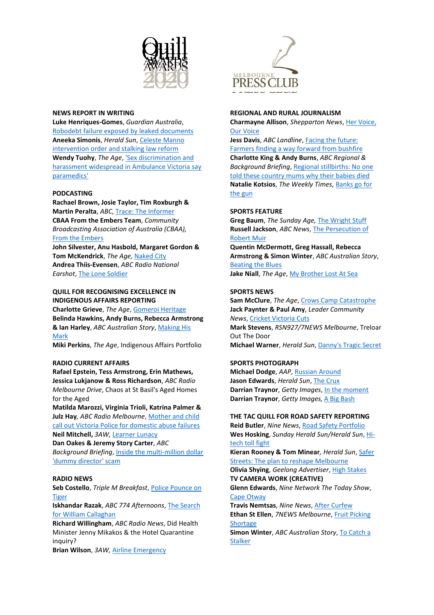

# **NEWS REPORT IN WRITING**

**Luke Henriques-Gomes**, *Guardian Australia*, [Robodebt failure exposed by leaked documents](https://www.theguardian.com/australia-news/2020/mar/27/robodebt-%20government-admits-it-will-be-forced-to-refund-550m-under-botched-scheme) **Aneeka Simonis**, *Herald Sun*[, Celeste Manno](https://www.heraldsun.com.au/truecrimeaustralia/police-courts/celeste-mannos-mum-vows-to-fight-for-change-in-her-daughters-memory/news-story/ff687817bd143469f6e810c57a9e711f)  [intervention order and stalking law reform](https://www.heraldsun.com.au/truecrimeaustralia/police-courts/celeste-mannos-mum-vows-to-fight-for-change-in-her-daughters-memory/news-story/ff687817bd143469f6e810c57a9e711f) **Wendy Tuohy**, *The Age*, ['Sex discrimination and](https://www.theage.com.au/national/victoria/sex-discrimination-and-harassment-widespread-in-ambulance-victoria-say-paramedics-20201025-p568h5.html)  [harassment widespread in Ambulance Victoria say](https://www.theage.com.au/national/victoria/sex-discrimination-and-harassment-widespread-in-ambulance-victoria-say-paramedics-20201025-p568h5.html)  [paramedics'](https://www.theage.com.au/national/victoria/sex-discrimination-and-harassment-widespread-in-ambulance-victoria-say-paramedics-20201025-p568h5.html)

### **PODCASTING**

**Rachael Brown, Josie Taylor, Tim Roxburgh & Martin Peralta**, *ABC*[, Trace: The Informer](https://www.abc.net.au/radio/programs/trace/nicola/12517632) **CBAA From the Embers Team**, *Community Broadcasting Association of Australia (CBAA),* [From the Embers](https://omny.fm/shows/from-the-embers/)

**John Silvester, Anu Hasbold, Margaret Gordon & Tom McKendrick**, *The Age,* [Naked City](https://podcasts.apple.com/au/podcast/naked-city/id1501054880) **Andrea Thiis-Evensen**, *ABC Radio National Earshot*[, The Lone Soldier](https://www.abc.net.au/radionational/programs/earshot/the-lone-soldier/12495806)

# **QUILL FOR RECOGNISING EXCELLENCE IN INDIGENOUS AFFAIRS REPORTING**

**Charlotte Grieve**, *The Age*[, Gomeroi Heritage](https://www.theage.com.au/business/banking-and-finance/investors-face-pressure-over-miner-set-to-destroy-aboriginal-artefacts-20200615-p552oy.html) **Belinda Hawkins, Andy Burns, Rebecca Armstrong & Ian Harley**, *ABC Australian Story*[, Making His](https://www.abc.net.au/austory/making-his-mark/12007718)  [Mark](https://www.abc.net.au/austory/making-his-mark/12007718)

**Miki Perkins**, *The Age*, Indigenous Affairs Portfolio

# **RADIO CURRENT AFFAIRS**

**Rafael Epstein, Tess Armstrong, Erin Mathews, Jessica Lukjanow & Ross Richardson**, *ABC Radio Melbourne Drive*, Chaos at St Basil's Aged Homes for the Aged

**Matilda Marozzi, Virginia Trioli, Katrina Palmer & Julz Hay***, ABC Radio Melbourne*[, Mother and child](https://www.abc.net.au/radio/melbourne/programs/mornings/victoria-police,-minister-apologise-to-woman/12363274)  [call out Victoria Police for domestic abuse failures](https://www.abc.net.au/radio/melbourne/programs/mornings/victoria-police,-minister-apologise-to-woman/12363274) **Neil Mitchell,** *3AW,* [Learner Lunacy](https://soundcloud.com/user-195569357/2021-quills-3aw-neil-mitchell-radio-current-affairs-learner-lunacy)

**Dan Oakes & Jeremy Story Carter**, *ABC Background Briefing*, [Inside the multi-million dollar](https://www.abc.net.au/radionational/programs/backgroundbriefing/inside-the-staggering-tax-scam-where-the-homeless-are-made-comp/11963044)  ['dummy director' scam](https://www.abc.net.au/radionational/programs/backgroundbriefing/inside-the-staggering-tax-scam-where-the-homeless-are-made-comp/11963044)

#### **RADIO NEWS**

**Seb Costello**, *Triple M Breakfast*, [Police Pounce on](https://soundcloud.com/user-637670709/seg-1-seb-costello-king)  **[Tiger](https://soundcloud.com/user-637670709/seg-1-seb-costello-king)** 

**Iskhandar Razak**, *ABC 774 Afternoons*, [The Search](https://soundcloud.com/iskhandar-razak/isk-quills-arvos-2min-cut)  [for William Callaghan](https://soundcloud.com/iskhandar-razak/isk-quills-arvos-2min-cut)

**Richard Willingham**, *ABC Radio News*, Did Health Minister Jenny Mikakos & the Hotel Quarantine inquiry?

**Brian Wilson**, *3AW,* [Airline Emergency](https://youtu.be/0cio9z8immI)



#### **REGIONAL AND RURAL JOURNALISM**

**Charmayne Allison**, *Shepparton News*[, Her Voice,](https://melbournepressclub.com/uploads/Awards/2020_Quills/Finalists/Regional_Allison_Her_voice_our_voice.pdf)  [Our Voice](https://melbournepressclub.com/uploads/Awards/2020_Quills/Finalists/Regional_Allison_Her_voice_our_voice.pdf)

**Jess Davis**, *ABC Landline*, [Facing the future:](https://www.abc.net.au/landline/facing-the-future-farmers-finding-a-way-forward/11921250)  [Farmers finding a way forward from bushfire](https://www.abc.net.au/landline/facing-the-future-farmers-finding-a-way-forward/11921250) **Charlotte King & Andy Burns**, *ABC Regional & Background Briefing*[, Regional stillbirths: No one](https://www.abc.net.au/radionational/programs/backgroundbriefing/no-one-told-these-country-mothers/12461076)  [told these country mums why their babies died](https://www.abc.net.au/radionational/programs/backgroundbriefing/no-one-told-these-country-mothers/12461076) **Natalie Kotsios**, *The Weekly Times*, [Banks go for](https://www.weeklytimesnow.com.au/news/national/risk-levels-turn-australian-banks-gun-shy/news-story/4e726259bd5983041c274c345a0dc688)  [the gun](https://www.weeklytimesnow.com.au/news/national/risk-levels-turn-australian-banks-gun-shy/news-story/4e726259bd5983041c274c345a0dc688)

# **SPORTS FEATURE**

**Greg Baum**, *The Sunday Age,* [The Wright Stuff](https://www.theage.com.au/national/decades-on-alison-extracted-a-confession-from-her-gymnastics-coach-20200811-p55kof.html) **Russell Jackson**, *ABC News*, [The Persecution of](https://www.abc.net.au/news/2020-08-23/persecution-of-robert-muir-story-football-doesnt-want-to-hear/12553554)  [Robert Muir](https://www.abc.net.au/news/2020-08-23/persecution-of-robert-muir-story-football-doesnt-want-to-hear/12553554)

**Quentin McDermott, Greg Hassall, Rebecca Armstrong & Simon Winter**, *ABC Australian Story*, [Beating the Blues](https://www.abc.net.au/austory/beating-the-blues/12578908) **Jake Niall**, *The Age*, [My Brother Lost At Sea](https://www.theage.com.au/sport/afl/my-brother-lost-at-sea-michael-hibberd-s-painful-story-20200813-p55ljr.html)

# **SPORTS NEWS**

**Sam McClure**, *The Age*[, Crows Camp Catastrophe](https://www.theage.com.au/sport/afl/inside-the-camp-that-brought-down-the-adelaide-crows-20200630-p557od.html) **Jack Paynter & Paul Amy**, *Leader Community News*[, Cricket Victoria Cuts](https://www.heraldsun.com.au/leader/inner-south/sport/cricket-victorias-spending-slash-could-affect-elite-junior-competitions/news-story/250fdecec62ed7372a4ba0c1dfa493d5) **Mark Stevens**, *RSN927/7NEWS Melbourne*, Treloar Out The Door **Michael Warner**, *Herald Sun*, [Danny's Tragic Secret](https://melbournepressclub.com/uploads/Awards/2020_Quills/Finalists/sports_News_Michael_Warner010920.pdf)

# **SPORTS PHOTOGRAPH**

**Michael Dodge**, *AAP*, [Russian Around](https://melbournepressclub.com/uploads/Awards/2020_Quills/Finalists/Dodge_Russian_Around.jpg) **Jason Edwards**, *Herald Sun*, [The Crux](https://melbournepressclub.com/uploads/Awards/2020_Quills/Finalists/_BV58064-301.jpg) **Darrian Traynor**, *Getty Images*[, In the moment](https://edition.cnn.com/interactive/2020/specials/year-in-pictures/) **Darrian Traynor**, *Getty Images,* [A Big Bash](https://melbournepressclub.com/uploads/Awards/2020_Quills/Finalists/Sports_photo_Traynor_AirJordan1.JPG)

#### **THE TAC QUILL FOR ROAD SAFETY REPORTING**

**Reid Butler**, *Nine News*[, Road Safety Portfolio](https://vimeo.com/508274401/54f249b91e) **Wes Hosking**, *Sunday Herald Sun/Herald Sun*[, Hi](https://www.heraldsun.com.au/news/victoria/cameras-to-nab-drivers-on-phones-to-be-trialled-within-months/news-story/ef9f8f1c40f7888475e8bd4bc6575200)[tech toll fight](https://www.heraldsun.com.au/news/victoria/cameras-to-nab-drivers-on-phones-to-be-trialled-within-months/news-story/ef9f8f1c40f7888475e8bd4bc6575200)

**Kieran Rooney & Tom Minear***, Herald Sun*, [Safer](https://www.heraldsun.com.au/news/victoria/yarra-trams-push-for-more-separation-between-trams-and-cars/news-story/6002f541719cf19b213c667c7851ec9e)  [Streets: The plan to reshape Melbourne](https://www.heraldsun.com.au/news/victoria/yarra-trams-push-for-more-separation-between-trams-and-cars/news-story/6002f541719cf19b213c667c7851ec9e)

**Olivia Shying**, *Geelong Advertiser*[, High Stakes](https://www.geelongadvertiser.com.au/truecrimeaustralia/police-courts/shocking-rate-of-drug-drivers-on-geelongs-roads/news-story/260af133429a26c34b8bbadff3b081bc) **TV CAMERA WORK (CREATIVE)**

**Glenn Edwards**, *Nine Network The Today Show*, [Cape Otway](https://vimeo.com/508264682/0eaa655f86)

**Travis Nemtsas**, *Nine News*, [After Curfew](https://vimeo.com/508675058/e9d318bf97) **Ethan St Ellen**, *7NEWS Melbourne*[, Fruit Picking](https://vimeo.com/508679913)  **[Shortage](https://vimeo.com/508679913)** 

**Simon Winter**, *ABC Australian Story*, [To Catch a](https://www.abc.net.au/austory/to-catch-a-stalker:-part-1/12745162)  **[Stalker](https://www.abc.net.au/austory/to-catch-a-stalker:-part-1/12745162)**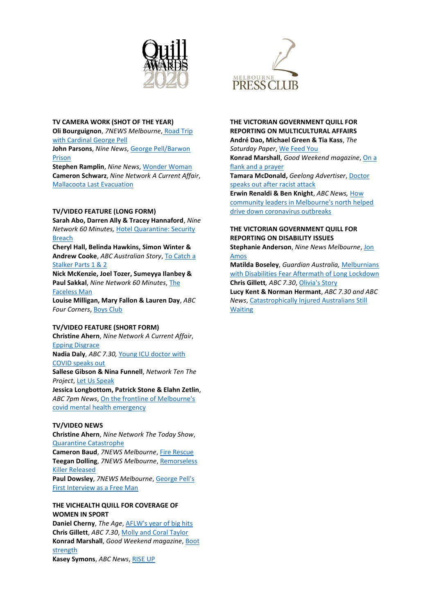

## **TV CAMERA WORK (SHOT OF THE YEAR)**

**Oli Bourguignon**, *7NEWS Melbourne*, [Road Trip](https://vimeo.com/506893976)  [with Cardinal George Pell](https://vimeo.com/506893976) **John Parsons**, *Nine News*, [George Pell/Barwon](https://vimeo.com/489661875/2ad2ce11c6) 

[Prison](https://vimeo.com/489661875/2ad2ce11c6)

**Stephen Ramplin**, *Nine News*[, Wonder Woman](https://www.9news.com.au/national/coronavirus-94-year-old-wonder-woman-makes-full-recovery-after-community-contamination-in-melbourne/41077702-5738-40ca-bdd3-2dd8f12d6550) **Cameron Schwarz**, *Nine Network A Current Affair*, [Mallacoota Last Evacuation](https://vimeo.com/493590895)

# **TV/VIDEO FEATURE (LONG FORM)**

**Sarah Abo, Darren Ally & Tracey Hannaford**, *Nine Network 60 Minutes,* [Hotel Quarantine: Security](https://www.youtube.com/watch?v=1dmKCbcS-Fo)  [Breach](https://www.youtube.com/watch?v=1dmKCbcS-Fo)

**Cheryl Hall, Belinda Hawkins, Simon Winter & Andrew Cooke**, *ABC Australian Story*, [To Catch a](https://ttps/www.abc.net.au/austory/to-catch-a-stalker:-part-1/12745162)  [Stalker Parts 1 & 2](https://ttps/www.abc.net.au/austory/to-catch-a-stalker:-part-1/12745162)

**Nick McKenzie, Joel Tozer, Sumeyya Ilanbey & Paul Sakkal**, *Nine Network 60 Minutes*, [The](https://youtu.be/Xm07CBiYoDM)  [Faceless Man](https://youtu.be/Xm07CBiYoDM)

**Louise Milligan, Mary Fallon & Lauren Day**, *ABC Four Corners*, [Boys Club](https://www.abc.net.au/4corners/boy-club/11994640)

# **TV/VIDEO FEATURE (SHORT FORM)**

**Christine Ahern**, *Nine Network A Current Affair*, [Epping Disgrace](https://vimeo.com/505877998)

**Nadia Daly**, *ABC 7.30,* [Young ICU doctor with](https://youtu.be/ezUUmtrxXac)  [COVID speaks out](https://youtu.be/ezUUmtrxXac)

**Sallese Gibson & Nina Funnell**, *Network Ten The Project*, [Let Us Speak](https://vimeo.com/507763900/0001ac16d3)

**Jessica Longbottom, Patrick Stone & Elahn Zetlin**, *ABC 7pm News*, [On the frontline of Melbourne's](https://www.abc.net.au/news/2020-07-05/coronavirus-mental-health-crisis-response-team-during-covid-19/12402370)  [covid mental health emergency](https://www.abc.net.au/news/2020-07-05/coronavirus-mental-health-crisis-response-team-during-covid-19/12402370)

# **TV/VIDEO NEWS**

**Christine Ahern**, *Nine Network The Today Show*, [Quarantine Catastrophe](https://vimeo.com/505876283)

**Cameron Baud**, *7NEWS Melbourne*, [Fire Rescue](https://vimeo.com/507760662) **Teegan Dolling**, *7NEWS Melbourne*[, Remorseless](https://vimeo.com/506880129)  [Killer Released](https://vimeo.com/506880129) **Paul Dowsley**, *7NEWS Melbourne*[, George Pell's](https://vimeo.com/505469807)  [First Interview as a Free Man](https://vimeo.com/505469807)

# **THE VICHEALTH QUILL FOR COVERAGE OF WOMEN IN SPORT**

**Daniel Cherny**, *The Age*[, AFLW's year of big hits](https://www.theage.com.au/sport/afl/the-toll-of-the-coronavirus-on-women-s-football-20201004-p561sh.html) **Chris Gillett**, *ABC 7.30*[, Molly and Coral Taylor](https://www.abc.net.au/7.30/meet-molly-and-coral-taylor---the-mother-and/12441026) **Konrad Marshall**, *Good Weekend magazine*, [Boot](https://www.theage.com.au/sport/afl/making-her-mark-how-a-photo-brought-aussie-rules-star-tayla-harris-a-game-to-the-trolls-20200316-p54al1.html)  [strength](https://www.theage.com.au/sport/afl/making-her-mark-how-a-photo-brought-aussie-rules-star-tayla-harris-a-game-to-the-trolls-20200316-p54al1.html) **Kasey Symons**, *ABC News*, [RISE UP](https://www.abc.net.au/news/2020-11-09/rise-up-campaign-means-wnbl-season-bigger-than-basketball/12857078)



# **THE VICTORIAN GOVERNMENT QUILL FOR REPORTING ON MULTICULTURAL AFFAIRS André Dao, Michael Green & Tia Kass**, *The*

*Saturday Paper*[, We Feed You](https://www.thesaturdaypaper.com.au/news/politics/2020/05/16/we-feed-you/15895512009836) **Konrad Marshall**, *Good Weekend magazine*[, On a](https://melbournepressclub.com/uploads/Awards/2020_Quills/Finalists/Multicultural_Affairs_Marshall_Flank_Prayer.pdf)  [flank and a prayer](https://melbournepressclub.com/uploads/Awards/2020_Quills/Finalists/Multicultural_Affairs_Marshall_Flank_Prayer.pdf)

**Tamara McDonald,** *Geelong Advertiser*[, Doctor](https://melbournepressclub.com/uploads/Awards/2020_Quills/Finalists/Multicultural_Affairs_McDonald.pdf)  [speaks out after racist attack](https://melbournepressclub.com/uploads/Awards/2020_Quills/Finalists/Multicultural_Affairs_McDonald.pdf)

**Erwin Renaldi & Ben Knight**, *ABC News,* [How](https://www.abc.net.au/news/2020-10-29/melbourne-coronavirus-covid-19-heroic-work-by-community-leaders/12820848)  [community leaders in Melbourne's north helped](https://www.abc.net.au/news/2020-10-29/melbourne-coronavirus-covid-19-heroic-work-by-community-leaders/12820848)  [drive down coronavirus outbreaks](https://www.abc.net.au/news/2020-10-29/melbourne-coronavirus-covid-19-heroic-work-by-community-leaders/12820848)

# **THE VICTORIAN GOVERNMENT QUILL FOR REPORTING ON DISABILITY ISSUES**

**Stephanie Anderson**, *Nine News Melbourne*, [Jon](https://vimeo.com/508673584/8a650767cb)  [Amos](https://vimeo.com/508673584/8a650767cb)

**Matilda Boseley**, *Guardian Australia,* [Melburnians](https://www.theguardian.com/society/2020/oct/11/im-worried-i-wont-be-able-to-walk-disabled-melburnians-fear-aftermath-of-long-lockdown)  [with Disabilities Fear Aftermath of Long Lockdown](https://www.theguardian.com/society/2020/oct/11/im-worried-i-wont-be-able-to-walk-disabled-melburnians-fear-aftermath-of-long-lockdown) **Chris Gillett***, ABC 7.30*, [Olivia's Story](https://www.abc.net.au/7.30/the-anguish-of-not-knowing-what-is-wrong-with-your/11973748)

**Lucy Kent & Norman Hermant**, *ABC 7.30 and ABC News*[, Catastrophically Injured Australians Still](https://www.abc.net.au/7.30/catastrophically-injured-australians-still-waiting/11986190)  [Waiting](https://www.abc.net.au/7.30/catastrophically-injured-australians-still-waiting/11986190)